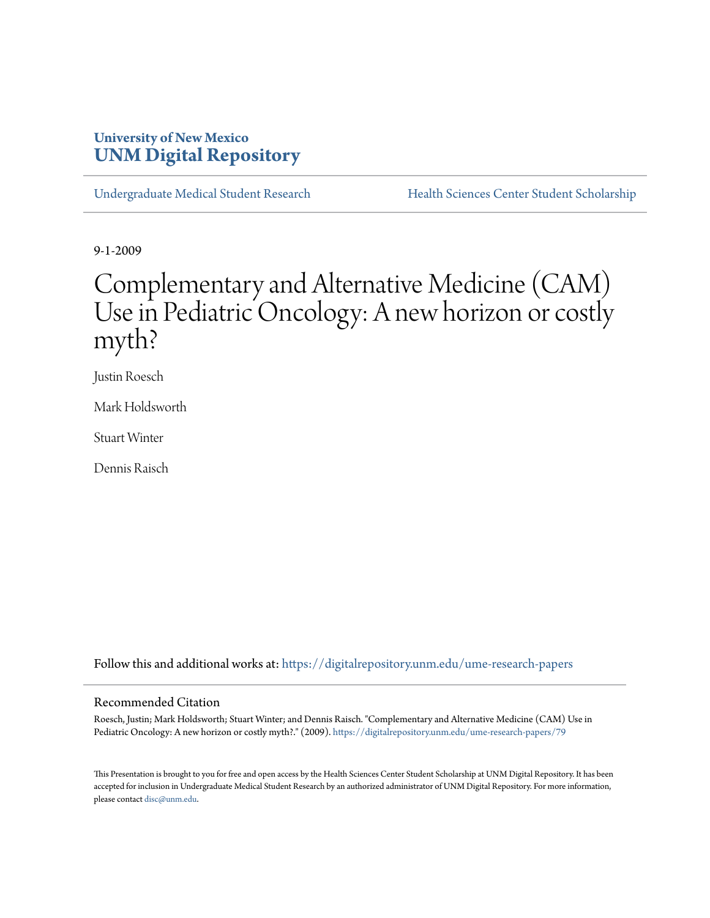# **University of New Mexico [UNM Digital Repository](https://digitalrepository.unm.edu?utm_source=digitalrepository.unm.edu%2Fume-research-papers%2F79&utm_medium=PDF&utm_campaign=PDFCoverPages)**

[Undergraduate Medical Student Research](https://digitalrepository.unm.edu/ume-research-papers?utm_source=digitalrepository.unm.edu%2Fume-research-papers%2F79&utm_medium=PDF&utm_campaign=PDFCoverPages) [Health Sciences Center Student Scholarship](https://digitalrepository.unm.edu/hsc-students?utm_source=digitalrepository.unm.edu%2Fume-research-papers%2F79&utm_medium=PDF&utm_campaign=PDFCoverPages)

9-1-2009

# Complementary and Alternative Medicine (CAM) Use in Pediatric Oncology: A new horizon or costly myth?

Justin Roesch

Mark Holdsworth

Stuart Winter

Dennis Raisch

Follow this and additional works at: [https://digitalrepository.unm.edu/ume-research-papers](https://digitalrepository.unm.edu/ume-research-papers?utm_source=digitalrepository.unm.edu%2Fume-research-papers%2F79&utm_medium=PDF&utm_campaign=PDFCoverPages)

#### Recommended Citation

Roesch, Justin; Mark Holdsworth; Stuart Winter; and Dennis Raisch. "Complementary and Alternative Medicine (CAM) Use in Pediatric Oncology: A new horizon or costly myth?." (2009). [https://digitalrepository.unm.edu/ume-research-papers/79](https://digitalrepository.unm.edu/ume-research-papers/79?utm_source=digitalrepository.unm.edu%2Fume-research-papers%2F79&utm_medium=PDF&utm_campaign=PDFCoverPages)

This Presentation is brought to you for free and open access by the Health Sciences Center Student Scholarship at UNM Digital Repository. It has been accepted for inclusion in Undergraduate Medical Student Research by an authorized administrator of UNM Digital Repository. For more information, please contact [disc@unm.edu.](mailto:disc@unm.edu)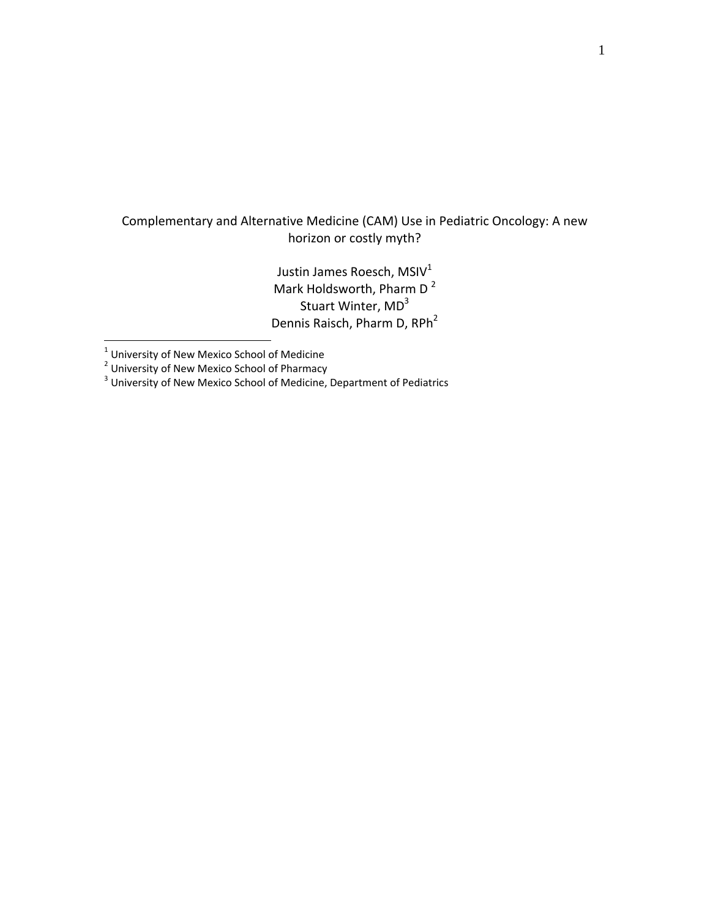# Complementary and Alternative Medicine (CAM) Use in Pediatric Oncology: A new horizon or costly myth?

Justin James Roesch, MSIV<sup>1</sup> Mark Holdsworth, Pharm D<sup>2</sup> Stuart Winter, MD<sup>3</sup> Dennis Raisch, Pharm D, RPh<sup>2</sup>

 $\overline{a}$ 

<sup>1</sup> University of New Mexico School of Medicine<br><sup>2</sup> University of New Mexico School of Pharmacy<br><sup>3</sup> University of New Mexico School of Medicine, Department of Pediatrics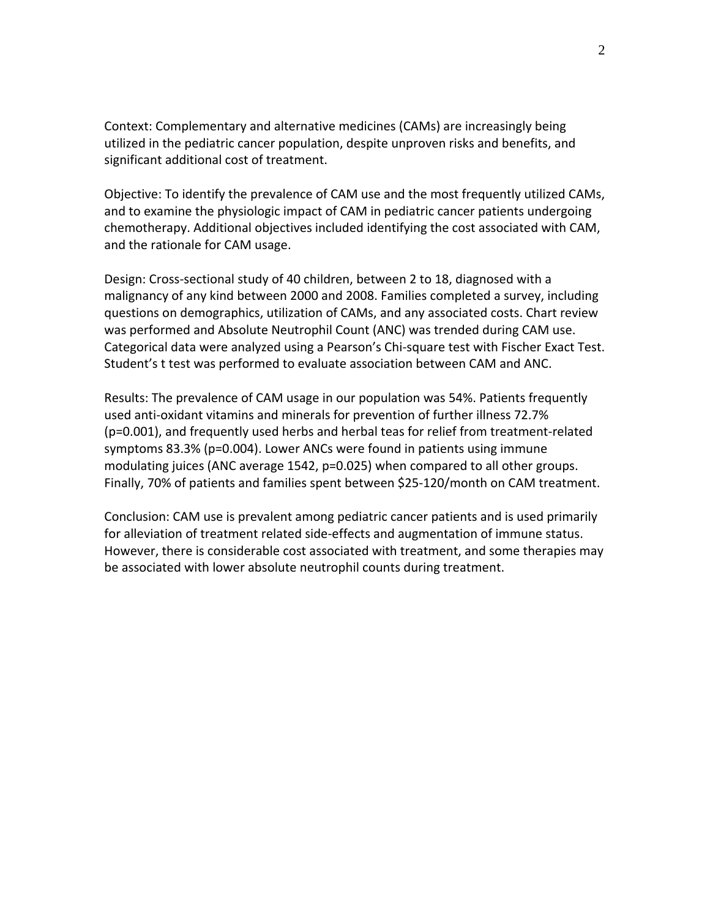Context: Complementary and alternative medicines (CAMs) are increasingly being utilized in the pediatric cancer population, despite unproven risks and benefits, and significant additional cost of treatment.

Objective: To identify the prevalence of CAM use and the most frequently utilized CAMs, and to examine the physiologic impact of CAM in pediatric cancer patients undergoing chemotherapy. Additional objectives included identifying the cost associated with CAM, and the rationale for CAM usage.

Design: Cross‐sectional study of 40 children, between 2 to 18, diagnosed with a malignancy of any kind between 2000 and 2008. Families completed a survey, including questions on demographics, utilization of CAMs, and any associated costs. Chart review was performed and Absolute Neutrophil Count (ANC) was trended during CAM use. Categorical data were analyzed using a Pearson's Chi‐square test with Fischer Exact Test. Student's t test was performed to evaluate association between CAM and ANC.

Results: The prevalence of CAM usage in our population was 54%. Patients frequently used anti‐oxidant vitamins and minerals for prevention of further illness 72.7% (p=0.001), and frequently used herbs and herbal teas for relief from treatment‐related symptoms 83.3% (p=0.004). Lower ANCs were found in patients using immune modulating juices (ANC average 1542, p=0.025) when compared to all other groups. Finally, 70% of patients and families spent between \$25‐120/month on CAM treatment.

Conclusion: CAM use is prevalent among pediatric cancer patients and is used primarily for alleviation of treatment related side‐effects and augmentation of immune status. However, there is considerable cost associated with treatment, and some therapies may be associated with lower absolute neutrophil counts during treatment.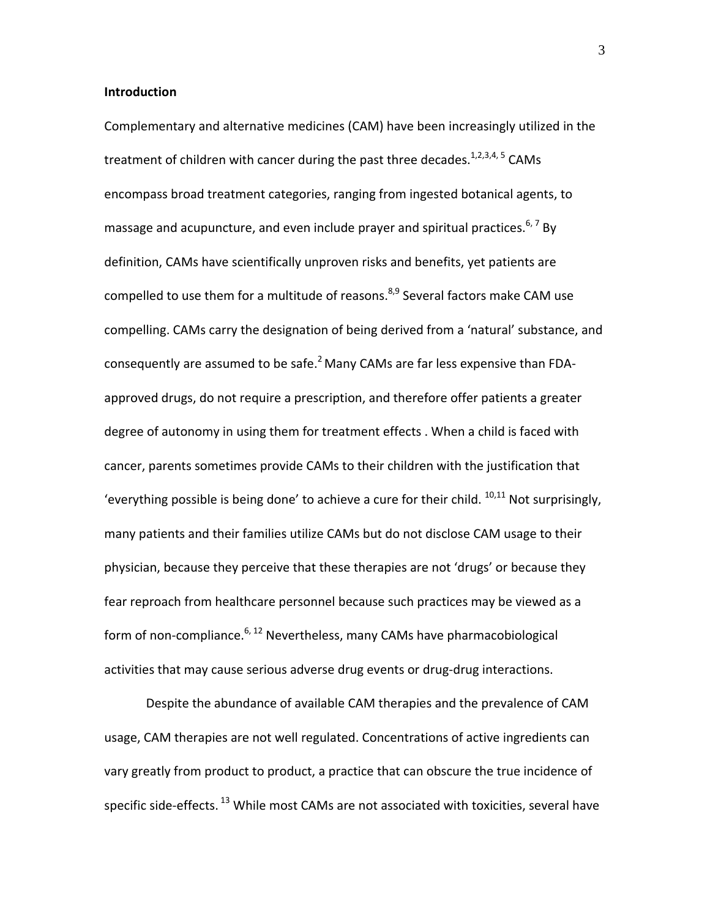### **Introduction**

Complementary and alternative medicines (CAM) have been increasingly utilized in the treatment of children with cancer during the past three decades.  $1,2,3,4,5$  CAMs encompass broad treatment categories, ranging from ingested botanical agents, to massage and acupuncture, and even include prayer and spiritual practices.<sup>6,7</sup> By definition, CAMs have scientifically unproven risks and benefits, yet patients are compelled to use them for a multitude of reasons.  $8.9$  Several factors make CAM use compelling. CAMs carry the designation of being derived from a 'natural' substance, and consequently are assumed to be safe.<sup>2</sup> Many CAMs are far less expensive than FDAapproved drugs, do not require a prescription, and therefore offer patients a greater degree of autonomy in using them for treatment effects . When a child is faced with cancer, parents sometimes provide CAMs to their children with the justification that 'everything possible is being done' to achieve a cure for their child.  $10,11$  Not surprisingly, many patients and their families utilize CAMs but do not disclose CAM usage to their physician, because they perceive that these therapies are not 'drugs' or because they fear reproach from healthcare personnel because such practices may be viewed as a form of non-compliance. $6, 12$  Nevertheless, many CAMs have pharmacobiological activities that may cause serious adverse drug events or drug‐drug interactions.

Despite the abundance of available CAM therapies and the prevalence of CAM usage, CAM therapies are not well regulated. Concentrations of active ingredients can vary greatly from product to product, a practice that can obscure the true incidence of specific side-effects.<sup>13</sup> While most CAMs are not associated with toxicities, several have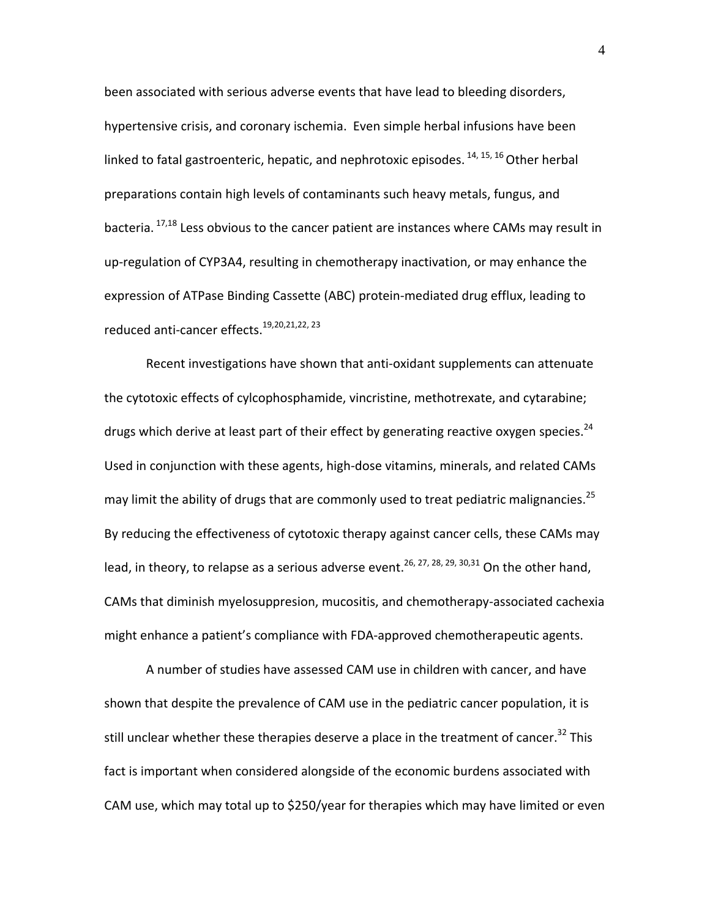been associated with serious adverse events that have lead to bleeding disorders, hypertensive crisis, and coronary ischemia. Even simple herbal infusions have been linked to fatal gastroenteric, hepatic, and nephrotoxic episodes.  $^{14, 15, 16}$  Other herbal preparations contain high levels of contaminants such heavy metals, fungus, and bacteria. <sup>17,18</sup> Less obvious to the cancer patient are instances where CAMs may result in up‐regulation of CYP3A4, resulting in chemotherapy inactivation, or may enhance the expression of ATPase Binding Cassette (ABC) protein‐mediated drug efflux, leading to reduced anti-cancer effects.<sup>19,20,21,22, 23</sup>

Recent investigations have shown that anti‐oxidant supplements can attenuate the cytotoxic effects of cylcophosphamide, vincristine, methotrexate, and cytarabine; drugs which derive at least part of their effect by generating reactive oxygen species.<sup>24</sup> Used in conjunction with these agents, high‐dose vitamins, minerals, and related CAMs may limit the ability of drugs that are commonly used to treat pediatric malignancies.<sup>25</sup> By reducing the effectiveness of cytotoxic therapy against cancer cells, these CAMs may lead, in theory, to relapse as a serious adverse event.<sup>26, 27, 28, 29, 30, 31</sup> On the other hand, CAMs that diminish myelosuppresion, mucositis, and chemotherapy‐associated cachexia might enhance a patient's compliance with FDA‐approved chemotherapeutic agents.

A number of studies have assessed CAM use in children with cancer, and have shown that despite the prevalence of CAM use in the pediatric cancer population, it is still unclear whether these therapies deserve a place in the treatment of cancer.<sup>32</sup> This fact is important when considered alongside of the economic burdens associated with CAM use, which may total up to \$250/year for therapies which may have limited or even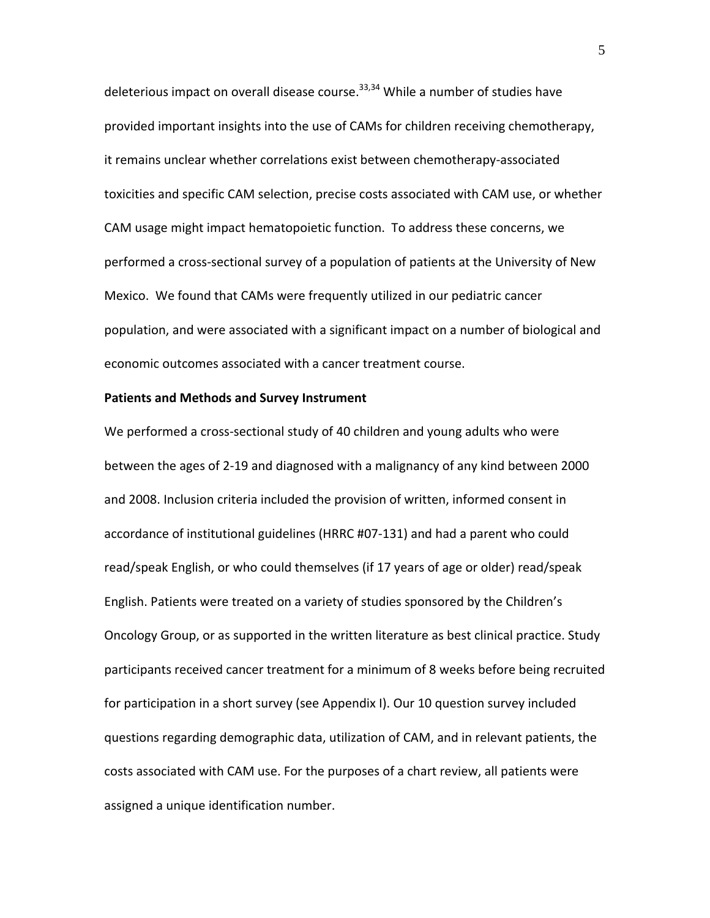deleterious impact on overall disease course.<sup>33,34</sup> While a number of studies have provided important insights into the use of CAMs for children receiving chemotherapy, it remains unclear whether correlations exist between chemotherapy‐associated toxicities and specific CAM selection, precise costs associated with CAM use, or whether CAM usage might impact hematopoietic function. To address these concerns, we performed a cross‐sectional survey of a population of patients at the University of New Mexico. We found that CAMs were frequently utilized in our pediatric cancer population, and were associated with a significant impact on a number of biological and economic outcomes associated with a cancer treatment course.

#### **Patients and Methods and Survey Instrument**

We performed a cross‐sectional study of 40 children and young adults who were between the ages of 2‐19 and diagnosed with a malignancy of any kind between 2000 and 2008. Inclusion criteria included the provision of written, informed consent in accordance of institutional guidelines (HRRC #07‐131) and had a parent who could read/speak English, or who could themselves (if 17 years of age or older) read/speak English. Patients were treated on a variety of studies sponsored by the Children's Oncology Group, or as supported in the written literature as best clinical practice. Study participants received cancer treatment for a minimum of 8 weeks before being recruited for participation in a short survey (see Appendix I). Our 10 question survey included questions regarding demographic data, utilization of CAM, and in relevant patients, the costs associated with CAM use. For the purposes of a chart review, all patients were assigned a unique identification number.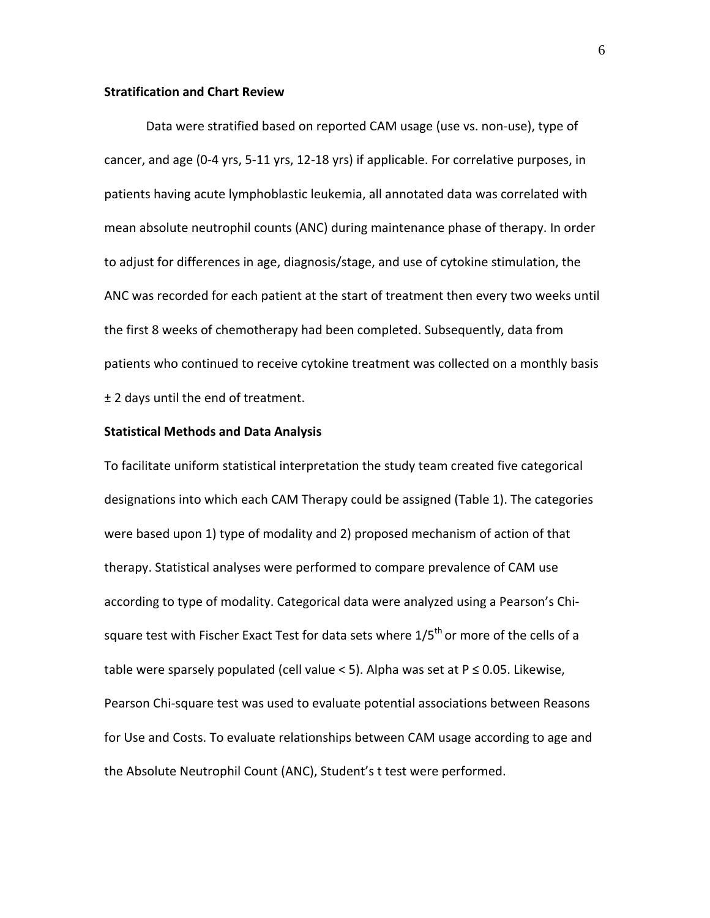## **Stratification and Chart Review**

Data were stratified based on reported CAM usage (use vs. non‐use), type of cancer, and age (0‐4 yrs, 5‐11 yrs, 12‐18 yrs) if applicable. For correlative purposes, in patients having acute lymphoblastic leukemia, all annotated data was correlated with mean absolute neutrophil counts (ANC) during maintenance phase of therapy. In order to adjust for differences in age, diagnosis/stage, and use of cytokine stimulation, the ANC was recorded for each patient at the start of treatment then every two weeks until the first 8 weeks of chemotherapy had been completed. Subsequently, data from patients who continued to receive cytokine treatment was collected on a monthly basis ± 2 days until the end of treatment.

#### **Statistical Methods and Data Analysis**

To facilitate uniform statistical interpretation the study team created five categorical designations into which each CAM Therapy could be assigned (Table 1). The categories were based upon 1) type of modality and 2) proposed mechanism of action of that therapy. Statistical analyses were performed to compare prevalence of CAM use according to type of modality. Categorical data were analyzed using a Pearson's Chi‐ square test with Fischer Exact Test for data sets where  $1/5<sup>th</sup>$  or more of the cells of a table were sparsely populated (cell value < 5). Alpha was set at  $P \le 0.05$ . Likewise, Pearson Chi‐square test was used to evaluate potential associations between Reasons for Use and Costs. To evaluate relationships between CAM usage according to age and the Absolute Neutrophil Count (ANC), Student's t test were performed.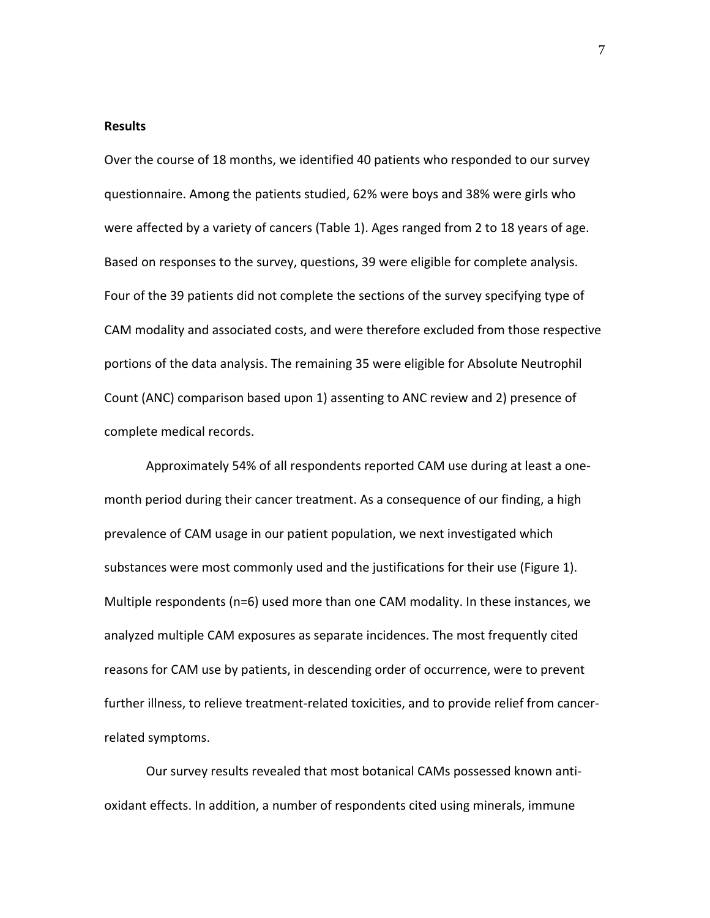#### **Results**

Over the course of 18 months, we identified 40 patients who responded to our survey questionnaire. Among the patients studied, 62% were boys and 38% were girls who were affected by a variety of cancers (Table 1). Ages ranged from 2 to 18 years of age. Based on responses to the survey, questions, 39 were eligible for complete analysis. Four of the 39 patients did not complete the sections of the survey specifying type of CAM modality and associated costs, and were therefore excluded from those respective portions of the data analysis. The remaining 35 were eligible for Absolute Neutrophil Count (ANC) comparison based upon 1) assenting to ANC review and 2) presence of complete medical records.

Approximately 54% of all respondents reported CAM use during at least a one‐ month period during their cancer treatment. As a consequence of our finding, a high prevalence of CAM usage in our patient population, we next investigated which substances were most commonly used and the justifications for their use (Figure 1). Multiple respondents (n=6) used more than one CAM modality. In these instances, we analyzed multiple CAM exposures as separate incidences. The most frequently cited reasons for CAM use by patients, in descending order of occurrence, were to prevent further illness, to relieve treatment‐related toxicities, and to provide relief from cancer‐ related symptoms.

Our survey results revealed that most botanical CAMs possessed known anti‐ oxidant effects. In addition, a number of respondents cited using minerals, immune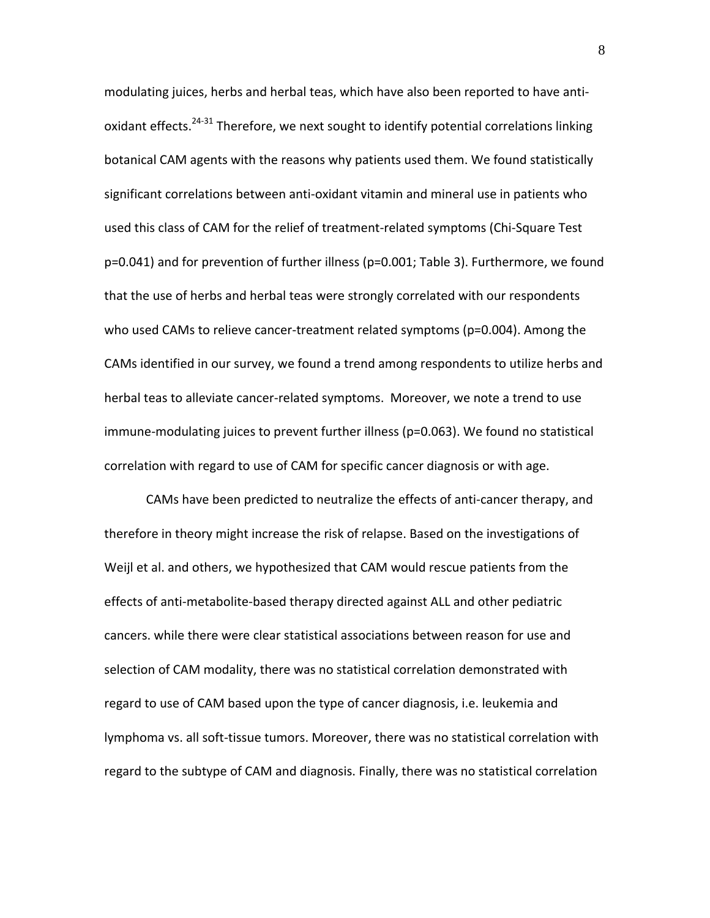modulating juices, herbs and herbal teas, which have also been reported to have anti‐ oxidant effects. $24-31$  Therefore, we next sought to identify potential correlations linking botanical CAM agents with the reasons why patients used them. We found statistically significant correlations between anti‐oxidant vitamin and mineral use in patients who used this class of CAM for the relief of treatment‐related symptoms (Chi‐Square Test p=0.041) and for prevention of further illness (p=0.001; Table 3). Furthermore, we found that the use of herbs and herbal teas were strongly correlated with our respondents who used CAMs to relieve cancer‐treatment related symptoms (p=0.004). Among the CAMs identified in our survey, we found a trend among respondents to utilize herbs and herbal teas to alleviate cancer‐related symptoms. Moreover, we note a trend to use immune‐modulating juices to prevent further illness (p=0.063). We found no statistical correlation with regard to use of CAM for specific cancer diagnosis or with age.

CAMs have been predicted to neutralize the effects of anti‐cancer therapy, and therefore in theory might increase the risk of relapse. Based on the investigations of Weijl et al. and others, we hypothesized that CAM would rescue patients from the effects of anti‐metabolite‐based therapy directed against ALL and other pediatric cancers. while there were clear statistical associations between reason for use and selection of CAM modality, there was no statistical correlation demonstrated with regard to use of CAM based upon the type of cancer diagnosis, i.e. leukemia and lymphoma vs. all soft‐tissue tumors. Moreover, there was no statistical correlation with regard to the subtype of CAM and diagnosis. Finally, there was no statistical correlation

8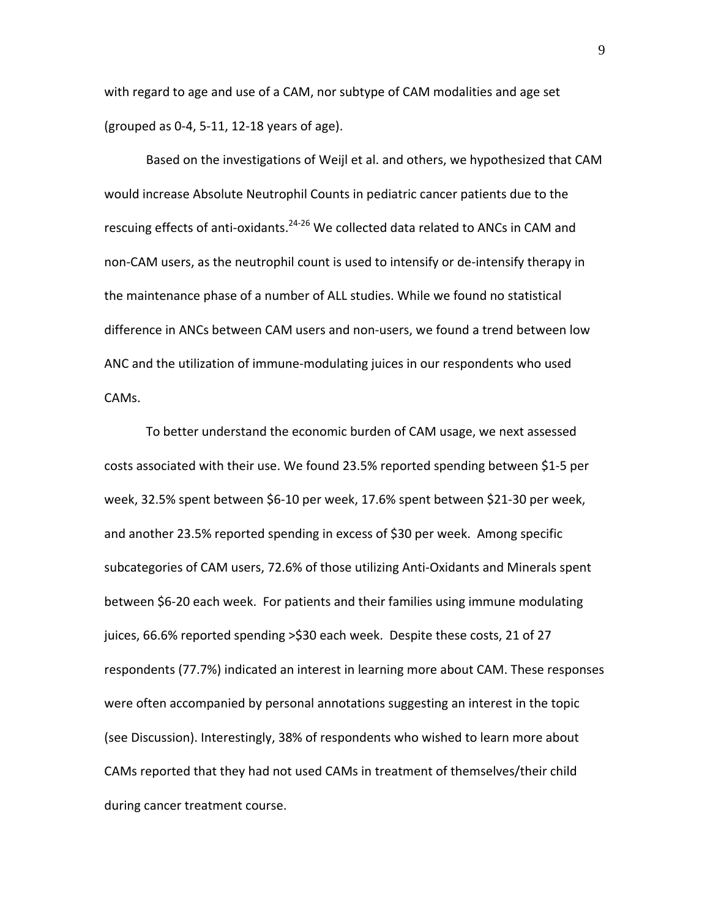with regard to age and use of a CAM, nor subtype of CAM modalities and age set (grouped as 0‐4, 5‐11, 12‐18 years of age).

Based on the investigations of Weijl et al. and others, we hypothesized that CAM would increase Absolute Neutrophil Counts in pediatric cancer patients due to the rescuing effects of anti-oxidants.<sup>24-26</sup> We collected data related to ANCs in CAM and non‐CAM users, as the neutrophil count is used to intensify or de‐intensify therapy in the maintenance phase of a number of ALL studies. While we found no statistical difference in ANCs between CAM users and non‐users, we found a trend between low ANC and the utilization of immune‐modulating juices in our respondents who used CAMs.

To better understand the economic burden of CAM usage, we next assessed costs associated with their use. We found 23.5% reported spending between \$1‐5 per week, 32.5% spent between \$6‐10 per week, 17.6% spent between \$21‐30 per week, and another 23.5% reported spending in excess of \$30 per week. Among specific subcategories of CAM users, 72.6% of those utilizing Anti‐Oxidants and Minerals spent between \$6‐20 each week. For patients and their families using immune modulating juices, 66.6% reported spending >\$30 each week. Despite these costs, 21 of 27 respondents (77.7%) indicated an interest in learning more about CAM. These responses were often accompanied by personal annotations suggesting an interest in the topic (see Discussion). Interestingly, 38% of respondents who wished to learn more about CAMs reported that they had not used CAMs in treatment of themselves/their child during cancer treatment course.

9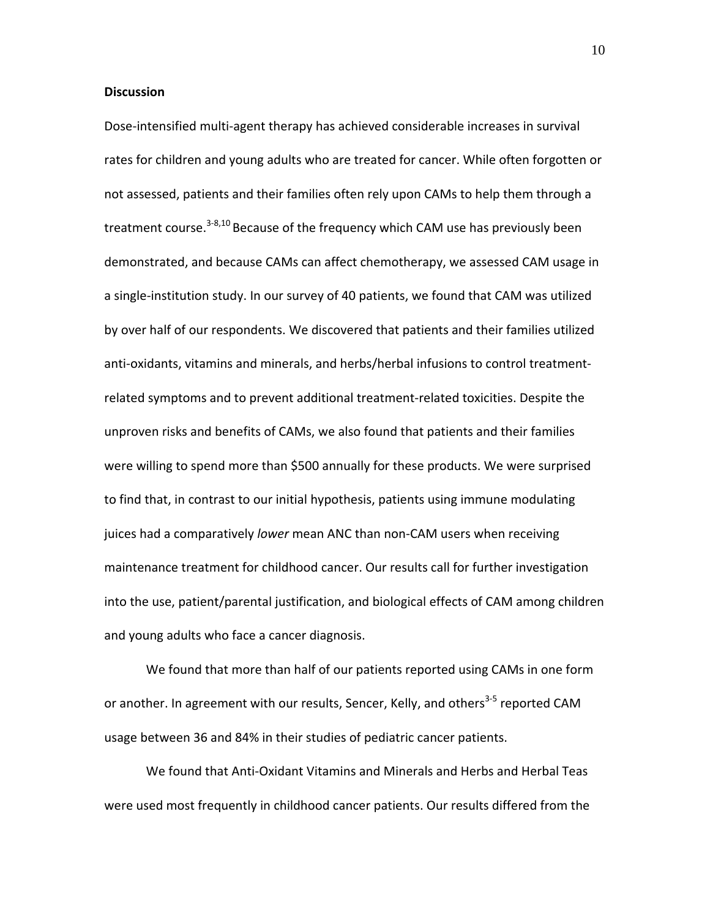## **Discussion**

Dose‐intensified multi‐agent therapy has achieved considerable increases in survival rates for children and young adults who are treated for cancer. While often forgotten or not assessed, patients and their families often rely upon CAMs to help them through a treatment course.<sup>3-8,10</sup> Because of the frequency which CAM use has previously been demonstrated, and because CAMs can affect chemotherapy, we assessed CAM usage in a single‐institution study. In our survey of 40 patients, we found that CAM was utilized by over half of our respondents. We discovered that patients and their families utilized anti-oxidants, vitamins and minerals, and herbs/herbal infusions to control treatmentrelated symptoms and to prevent additional treatment‐related toxicities. Despite the unproven risks and benefits of CAMs, we also found that patients and their families were willing to spend more than \$500 annually for these products. We were surprised to find that, in contrast to our initial hypothesis, patients using immune modulating juices had a comparatively *lower* mean ANC than non‐CAM users when receiving maintenance treatment for childhood cancer. Our results call for further investigation into the use, patient/parental justification, and biological effects of CAM among children and young adults who face a cancer diagnosis.

We found that more than half of our patients reported using CAMs in one form or another. In agreement with our results, Sencer, Kelly, and others<sup>3-5</sup> reported CAM usage between 36 and 84% in their studies of pediatric cancer patients.

We found that Anti‐Oxidant Vitamins and Minerals and Herbs and Herbal Teas were used most frequently in childhood cancer patients. Our results differed from the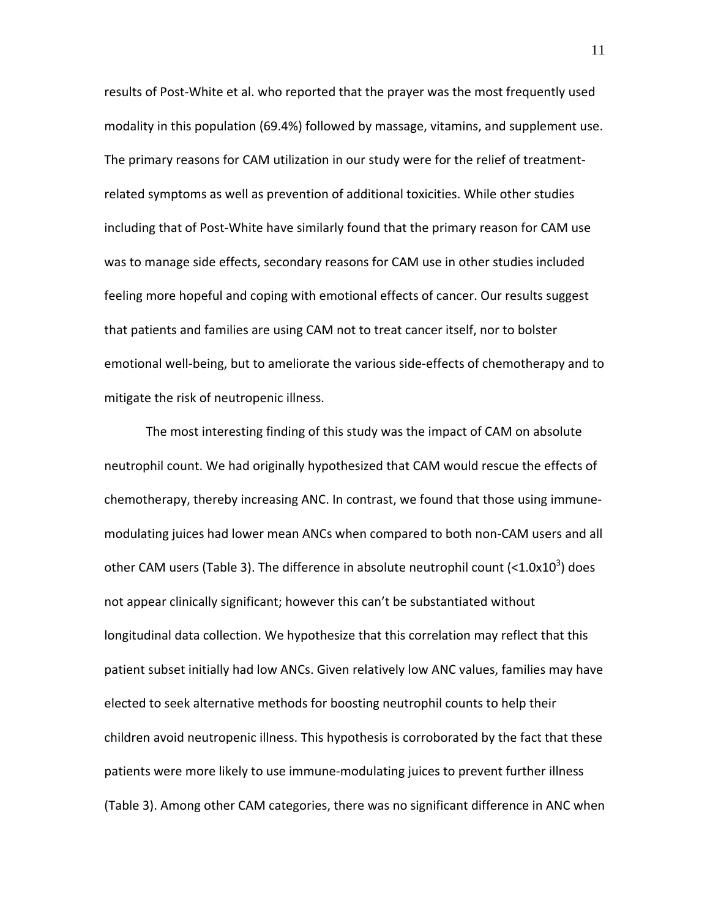results of Post‐White et al. who reported that the prayer was the most frequently used modality in this population (69.4%) followed by massage, vitamins, and supplement use. The primary reasons for CAM utilization in our study were for the relief of treatment‐ related symptoms as well as prevention of additional toxicities. While other studies including that of Post‐White have similarly found that the primary reason for CAM use was to manage side effects, secondary reasons for CAM use in other studies included feeling more hopeful and coping with emotional effects of cancer. Our results suggest that patients and families are using CAM not to treat cancer itself, nor to bolster emotional well-being, but to ameliorate the various side-effects of chemotherapy and to mitigate the risk of neutropenic illness.

The most interesting finding of this study was the impact of CAM on absolute neutrophil count. We had originally hypothesized that CAM would rescue the effects of chemotherapy, thereby increasing ANC. In contrast, we found that those using immune‐ modulating juices had lower mean ANCs when compared to both non‐CAM users and all other CAM users (Table 3). The difference in absolute neutrophil count (< $1.0x10<sup>3</sup>$ ) does not appear clinically significant; however this can't be substantiated without longitudinal data collection. We hypothesize that this correlation may reflect that this patient subset initially had low ANCs. Given relatively low ANC values, families may have elected to seek alternative methods for boosting neutrophil counts to help their children avoid neutropenic illness. This hypothesis is corroborated by the fact that these patients were more likely to use immune‐modulating juices to prevent further illness (Table 3). Among other CAM categories, there was no significant difference in ANC when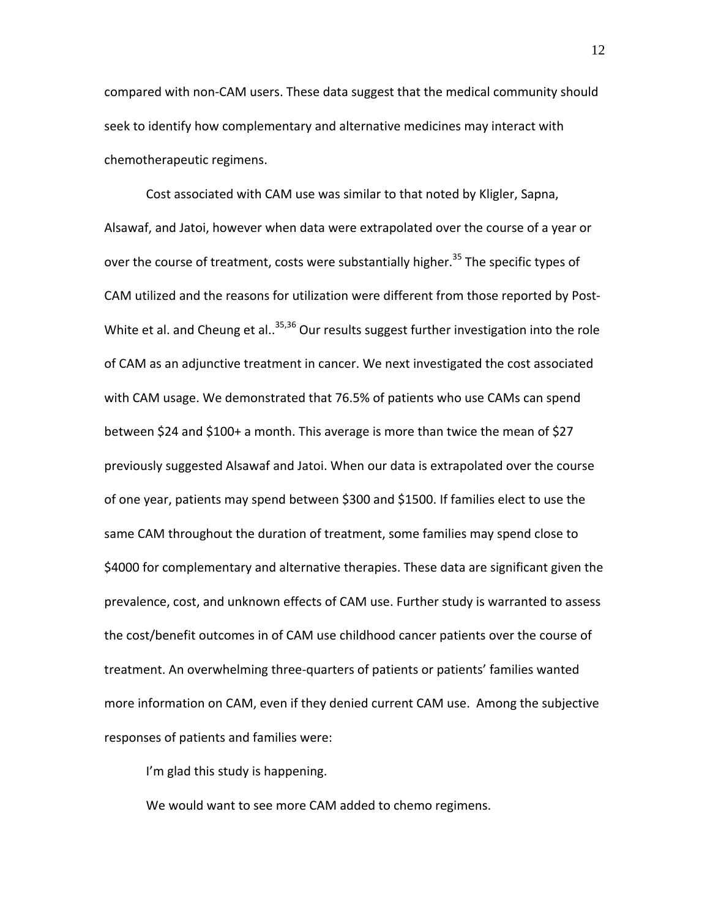compared with non‐CAM users. These data suggest that the medical community should seek to identify how complementary and alternative medicines may interact with chemotherapeutic regimens.

Cost associated with CAM use was similar to that noted by Kligler, Sapna, Alsawaf, and Jatoi, however when data were extrapolated over the course of a year or over the course of treatment, costs were substantially higher.<sup>35</sup> The specific types of CAM utilized and the reasons for utilization were different from those reported by Post‐ White et al. and Cheung et al..<sup>35,36</sup> Our results suggest further investigation into the role of CAM as an adjunctive treatment in cancer. We next investigated the cost associated with CAM usage. We demonstrated that 76.5% of patients who use CAMs can spend between \$24 and \$100+ a month. This average is more than twice the mean of \$27 previously suggested Alsawaf and Jatoi. When our data is extrapolated over the course of one year, patients may spend between \$300 and \$1500. If families elect to use the same CAM throughout the duration of treatment, some families may spend close to \$4000 for complementary and alternative therapies. These data are significant given the prevalence, cost, and unknown effects of CAM use. Further study is warranted to assess the cost/benefit outcomes in of CAM use childhood cancer patients over the course of treatment. An overwhelming three‐quarters of patients or patients' families wanted more information on CAM, even if they denied current CAM use. Among the subjective responses of patients and families were:

I'm glad this study is happening.

We would want to see more CAM added to chemo regimens.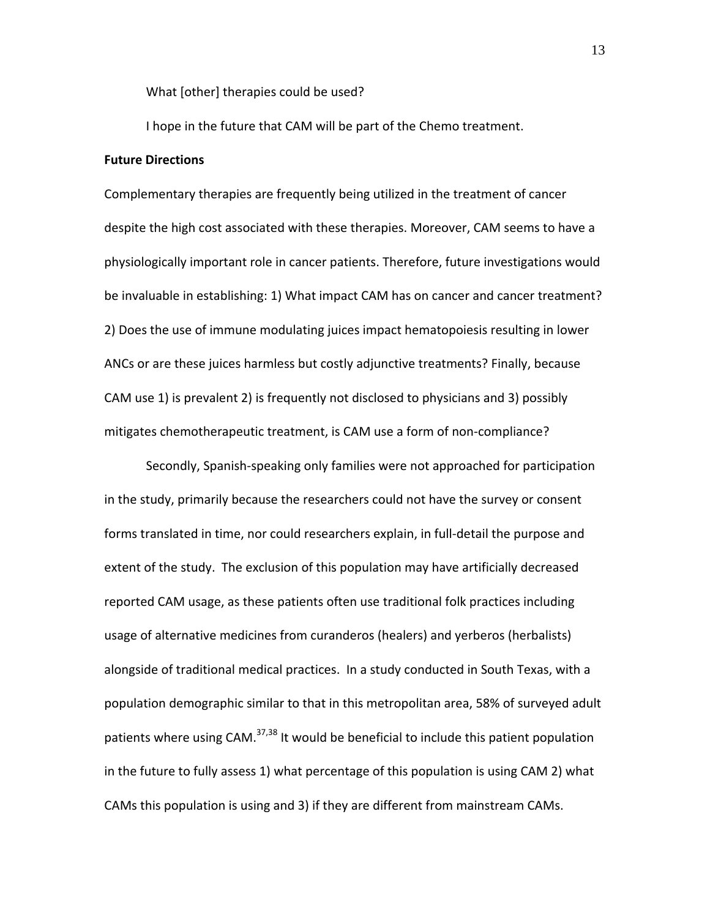What [other] therapies could be used?

I hope in the future that CAM will be part of the Chemo treatment.

### **Future Directions**

Complementary therapies are frequently being utilized in the treatment of cancer despite the high cost associated with these therapies. Moreover, CAM seems to have a physiologically important role in cancer patients. Therefore, future investigations would be invaluable in establishing: 1) What impact CAM has on cancer and cancer treatment? 2) Does the use of immune modulating juices impact hematopoiesis resulting in lower ANCs or are these juices harmless but costly adjunctive treatments? Finally, because CAM use 1) is prevalent 2) is frequently not disclosed to physicians and 3) possibly mitigates chemotherapeutic treatment, is CAM use a form of non‐compliance?

Secondly, Spanish‐speaking only families were not approached for participation in the study, primarily because the researchers could not have the survey or consent forms translated in time, nor could researchers explain, in full-detail the purpose and extent of the study. The exclusion of this population may have artificially decreased reported CAM usage, as these patients often use traditional folk practices including usage of alternative medicines from curanderos (healers) and yerberos (herbalists) alongside of traditional medical practices. In a study conducted in South Texas, with a population demographic similar to that in this metropolitan area, 58% of surveyed adult patients where using CAM.<sup>37,38</sup> It would be beneficial to include this patient population in the future to fully assess 1) what percentage of this population is using CAM 2) what CAMs this population is using and 3) if they are different from mainstream CAMs.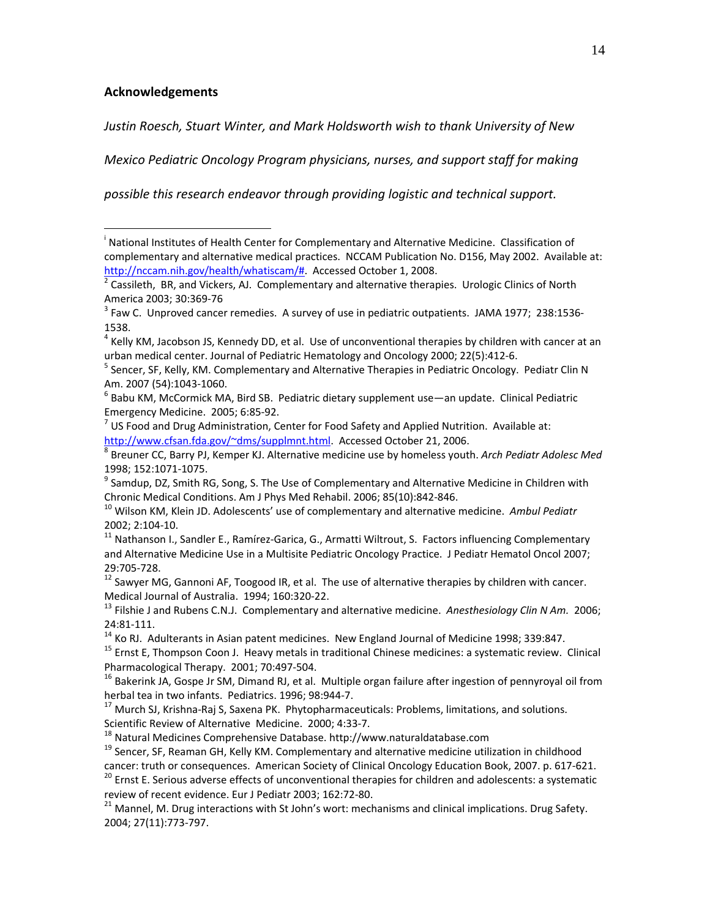# **Acknowledgements**

 $\overline{a}$ 

*Justin Roesch, Stuart Winter, and Mark Holdsworth wish to thank University of New*

*Mexico Pediatric Oncology Program physicians, nurses, and support staff for making*

*possible this research endeavor through providing logistic and technical support.*

http://www.cfsan.fda.gov/~dms/supplmnt.html</u>. Accessed October 21, 2006.<br><sup>8</sup> Breuner CC, Barry PJ, Kemper KJ. Alternative medicine use by homeless youth. *Arch Pediatr Adolesc Med* 

1998; 152:1071-1075.<br><sup>9</sup> Samdup, DZ, Smith RG, Song, S. The Use of Complementary and Alternative Medicine in Children with Chronic Medical Conditions. Am J Phys Med Rehabil. 2006; 85(10):842-846.

and Alternative Medicine Use in a Multisite Pediatric Oncology Practice. J Pediatr Hematol Oncol 2007;

29:705-728.<br><sup>12</sup> Sawyer MG, Gannoni AF, Toogood IR, et al. The use of alternative therapies by children with cancer.<br>Medical Journal of Australia. 1994; 160:320-22.

<sup>13</sup> Filshie J and Rubens C.N.J. Complementary and alternative medicine. *Anesthesiology Clin N Am.* 2006; 24:81-111.<br><sup>14</sup> Ko RJ. Adulterants in Asian patent medicines. New England Journal of Medicine 1998; 339:847.<br><sup>15</sup> Ernst E, Thompson Coon J. Heavy metals in traditional Chinese medicines: a systematic review. Clinical

Pharmacological Therapy. 2001; 70:497-504.<br><sup>16</sup> Bakerink JA, Gospe Jr SM, Dimand RJ, et al. Multiple organ failure after ingestion of pennyroyal oil from<br>herbal tea in two infants. Pediatrics. 1996; 98:944-7.

 $17$  Murch SJ, Krishna-Raj S, Saxena PK. Phytopharmaceuticals: Problems, limitations, and solutions.

Scientific Review of Alternative Medicine. 2000; 4:33-7.<br><sup>18</sup> Natural Medicines Comprehensive Database. http://www.naturaldatabase.com<br><sup>19</sup> Sencer, SF, Reaman GH, Kelly KM. Complementary and alternative medicine utilizatio

<sup>20</sup> Ernst E. Serious adverse effects of unconventional therapies for children and adolescents: a systematic

review of recent evidence. Eur J Pediatr 2003; 162:72-80.<br><sup>21</sup> Mannel, M. Drug interactions with St John's wort: mechanisms and clinical implications. Drug Safety. 2004; 27(11):773‐797.

<sup>&</sup>lt;sup>i</sup> National Institutes of Health Center for Complementary and Alternative Medicine. Classification of complementary and alternative medical practices. NCCAM Publication No. D156, May 2002. Available at: http://nccam.nih.gov/health/whatiscam/#. Accessed October 1, 2008.<br><sup>2</sup> Cassileth, BR, and Vickers, AJ. Complementary and alternative therapies. Urologic Clinics of North

America 2003; 30:369-76<br><sup>3</sup> Faw C. Unproved cancer remedies. A survey of use in pediatric outpatients. JAMA 1977; 238:1536-

<sup>1538.</sup>

 $<sup>4</sup>$  Kelly KM, Jacobson JS, Kennedy DD, et al. Use of unconventional therapies by children with cancer at an</sup> urban medical center. Journal of Pediatric Hematology and Oncology 2000; 22(5):412-6.<br><sup>5</sup> Sencer, SF, Kelly, KM. Complementary and Alternative Therapies in Pediatric Oncology. Pediatr Clin N

Am. 2007 (54):1043-1060.<br><sup>6</sup> Babu KM, McCormick MA, Bird SB. Pediatric dietary supplement use—an update. Clinical Pediatric

Emergency Medicine. 2005; 6:85-92.<br><sup>7</sup> US Food and Drug Administration, Center for Food Safety and Applied Nutrition. Available at:

<sup>&</sup>lt;sup>10</sup> Wilson KM, Klein JD. Adolescents' use of complementary and alternative medicine. Ambul Pediatr 2002; 2:104-10.<br><sup>11</sup> Nathanson I., Sandler E., Ramírez-Garica, G., Armatti Wiltrout, S. Factors influencing Complementary